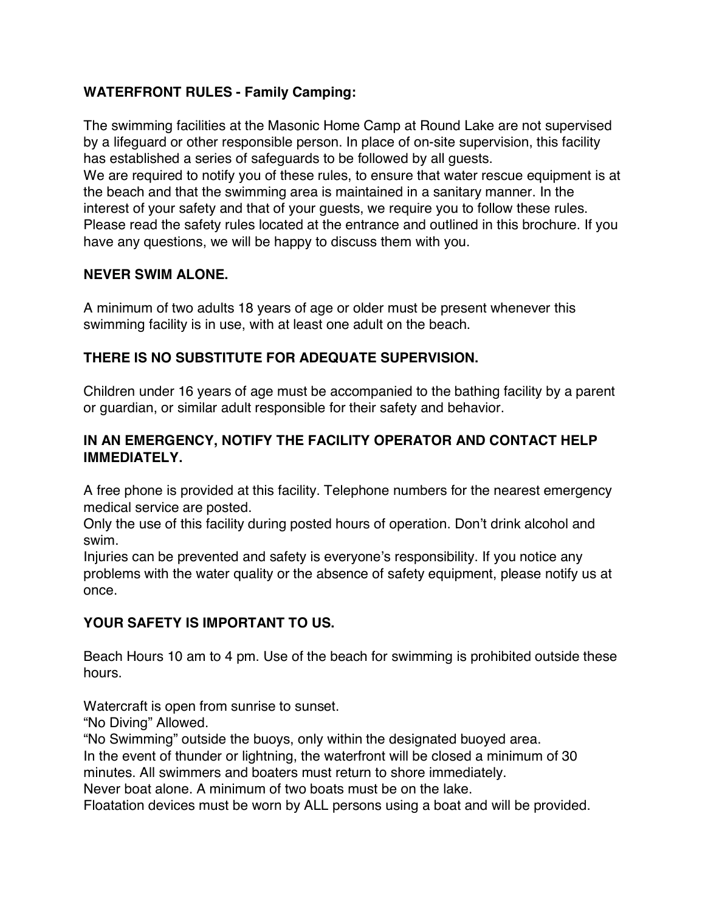## **WATERFRONT RULES - Family Camping:**

The swimming facilities at the Masonic Home Camp at Round Lake are not supervised by a lifeguard or other responsible person. In place of on-site supervision, this facility has established a series of safeguards to be followed by all guests. We are required to notify you of these rules, to ensure that water rescue equipment is at the beach and that the swimming area is maintained in a sanitary manner. In the interest of your safety and that of your guests, we require you to follow these rules. Please read the safety rules located at the entrance and outlined in this brochure. If you have any questions, we will be happy to discuss them with you.

#### **NEVER SWIM ALONE.**

A minimum of two adults 18 years of age or older must be present whenever this swimming facility is in use, with at least one adult on the beach.

# **THERE IS NO SUBSTITUTE FOR ADEQUATE SUPERVISION.**

Children under 16 years of age must be accompanied to the bathing facility by a parent or guardian, or similar adult responsible for their safety and behavior.

## **IN AN EMERGENCY, NOTIFY THE FACILITY OPERATOR AND CONTACT HELP IMMEDIATELY.**

A free phone is provided at this facility. Telephone numbers for the nearest emergency medical service are posted.

Only the use of this facility during posted hours of operation. Don't drink alcohol and swim.

Injuries can be prevented and safety is everyone's responsibility. If you notice any problems with the water quality or the absence of safety equipment, please notify us at once.

# **YOUR SAFETY IS IMPORTANT TO US.**

Beach Hours 10 am to 4 pm. Use of the beach for swimming is prohibited outside these hours.

Watercraft is open from sunrise to sunset.

"No Diving" Allowed.

"No Swimming" outside the buoys, only within the designated buoyed area.

In the event of thunder or lightning, the waterfront will be closed a minimum of 30 minutes. All swimmers and boaters must return to shore immediately.

Never boat alone. A minimum of two boats must be on the lake.

Floatation devices must be worn by ALL persons using a boat and will be provided.